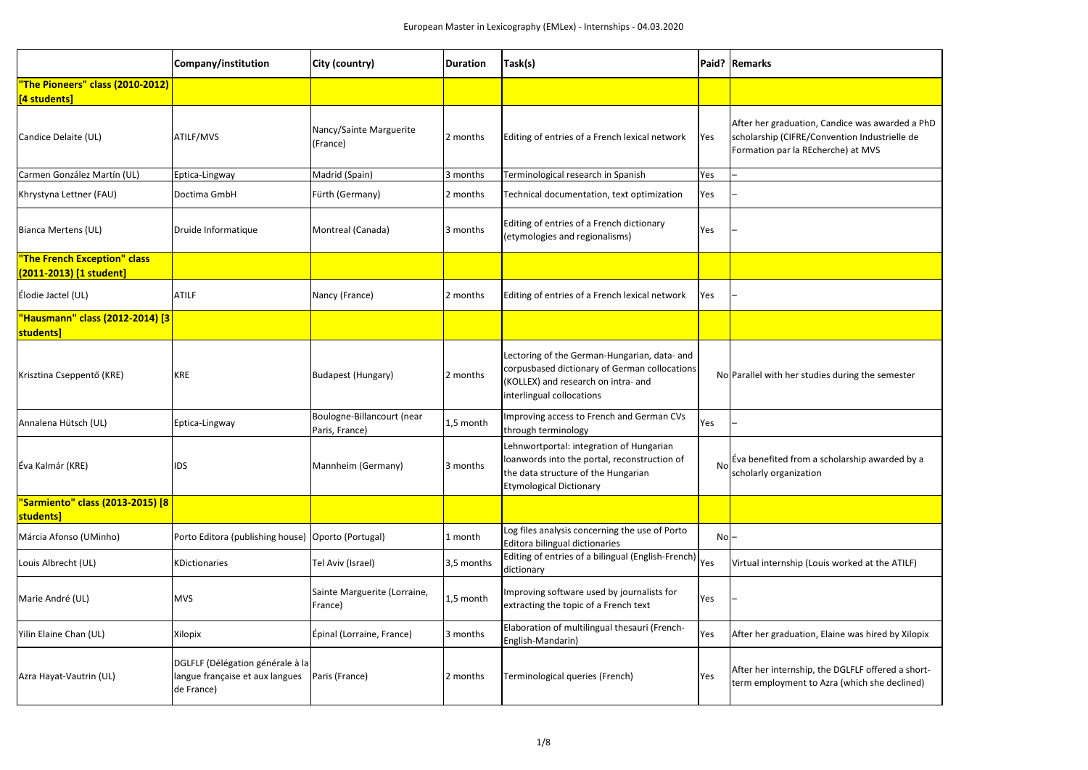|                                                         | Company/institution                                                               | City (country)                               | <b>Duration</b> | Task(s)                                                                                                                                                           |        | Paid?   Remarks                                                         |
|---------------------------------------------------------|-----------------------------------------------------------------------------------|----------------------------------------------|-----------------|-------------------------------------------------------------------------------------------------------------------------------------------------------------------|--------|-------------------------------------------------------------------------|
| "The Pioneers" class (2010-2012)<br>[4 students]        |                                                                                   |                                              |                 |                                                                                                                                                                   |        |                                                                         |
| Candice Delaite (UL)                                    | ATILF/MVS                                                                         | Nancy/Sainte Marguerite<br>(France)          | 2 months        | Editing of entries of a French lexical network                                                                                                                    | Yes    | After her graduation,<br>scholarship (CIFRE/Co<br>Formation par la REch |
| Carmen González Martín (UL)                             | Eptica-Lingway                                                                    | Madrid (Spain)                               | 3 months        | Terminological research in Spanish                                                                                                                                | Yes    |                                                                         |
| Khrystyna Lettner (FAU)                                 | Doctima GmbH                                                                      | Fürth (Germany)                              | 2 months        | Technical documentation, text optimization                                                                                                                        | Yes    |                                                                         |
| <b>Bianca Mertens (UL)</b>                              | Druide Informatique                                                               | Montreal (Canada)                            | 3 months        | Editing of entries of a French dictionary<br>(etymologies and regionalisms)                                                                                       | Yes    |                                                                         |
| "The French Exception" class<br>(2011-2013) [1 student] |                                                                                   |                                              |                 |                                                                                                                                                                   |        |                                                                         |
| Élodie Jactel (UL)                                      | <b>ATILF</b>                                                                      | Nancy (France)                               | 2 months        | Editing of entries of a French lexical network                                                                                                                    | Yes    |                                                                         |
| "Hausmann" class (2012-2014) [3<br>students]            |                                                                                   |                                              |                 |                                                                                                                                                                   |        |                                                                         |
| Krisztina Cseppentő (KRE)                               | <b>KRE</b>                                                                        | Budapest (Hungary)                           | 2 months        | Lectoring of the German-Hungarian, data- and<br>corpusbased dictionary of German collocations<br>(KOLLEX) and research on intra- and<br>interlingual collocations |        | NolParallel with her studi                                              |
| Annalena Hütsch (UL)                                    | Eptica-Lingway                                                                    | Boulogne-Billancourt (near<br>Paris, France) | 1,5 month       | Improving access to French and German CVs<br>through terminology                                                                                                  | Yes    |                                                                         |
| Éva Kalmár (KRE)                                        | <b>IDS</b>                                                                        | Mannheim (Germany)                           | 3 months        | Lehnwortportal: integration of Hungarian<br>loanwords into the portal, reconstruction of<br>the data structure of the Hungarian<br><b>Etymological Dictionary</b> | No     | Eva benefited from a s<br>scholarly organization                        |
| "Sarmiento" class (2013-2015) [8<br>students]           |                                                                                   |                                              |                 |                                                                                                                                                                   |        |                                                                         |
| Márcia Afonso (UMinho)                                  | Porto Editora (publishing house)                                                  | Oporto (Portugal)                            | 1 month         | Log files analysis concerning the use of Porto<br>Editora bilingual dictionaries                                                                                  | $No$ - |                                                                         |
| Louis Albrecht (UL)                                     | <b>KDictionaries</b>                                                              | Tel Aviv (Israel)                            | 3,5 months      | Editing of entries of a bilingual (English-French)<br>dictionary                                                                                                  | Yes    | Virtual internship (Lou                                                 |
| Marie André (UL)                                        | <b>MVS</b>                                                                        | Sainte Marguerite (Lorraine,<br>France)      | 1,5 month       | Improving software used by journalists for<br>extracting the topic of a French text                                                                               | Yes    |                                                                         |
| Yilin Elaine Chan (UL)                                  | Xilopix                                                                           | Épinal (Lorraine, France)                    | 3 months        | Elaboration of multilingual thesauri (French-<br>English-Mandarin)                                                                                                | Yes    | After her graduation,                                                   |
| Azra Hayat-Vautrin (UL)                                 | DGLFLF (Délégation générale à la<br>langue française et aux langues<br>de France) | Paris (France)                               | 2 months        | Terminological queries (French)                                                                                                                                   | Yes    | After her internship, t<br>term employment to                           |

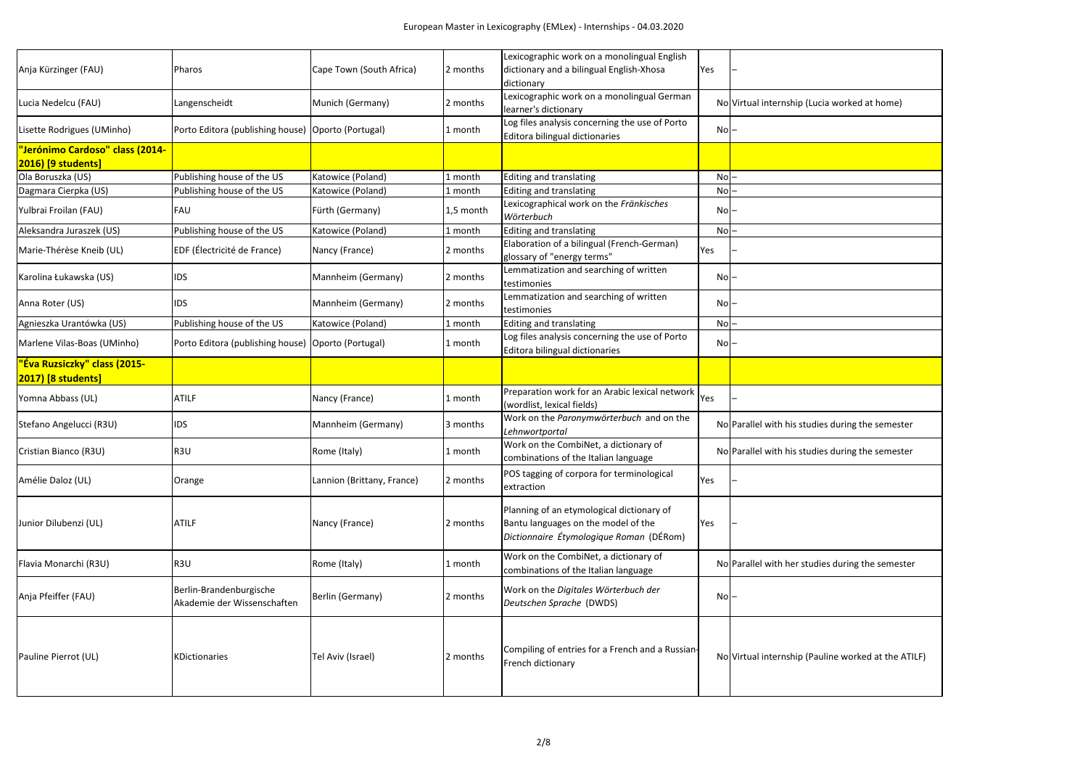|                                     |                                                      |                            |           | Lexicographic work on a monolingual English      |                                 |                                                     |
|-------------------------------------|------------------------------------------------------|----------------------------|-----------|--------------------------------------------------|---------------------------------|-----------------------------------------------------|
| Anja Kürzinger (FAU)                | Pharos                                               | Cape Town (South Africa)   | 2 months  | dictionary and a bilingual English-Xhosa         | Yes                             |                                                     |
|                                     |                                                      |                            |           | dictionary                                       |                                 |                                                     |
| Lucia Nedelcu (FAU)                 | Langenscheidt                                        | Munich (Germany)           | 2 months  | Lexicographic work on a monolingual German       |                                 | No Virtual internship (Lucia worked at home)        |
|                                     |                                                      |                            |           | learner's dictionary                             |                                 |                                                     |
| Lisette Rodrigues (UMinho)          | Porto Editora (publishing house)   Oporto (Portugal) |                            | 1 month   | Log files analysis concerning the use of Porto   | Nol-                            |                                                     |
|                                     |                                                      |                            |           | Editora bilingual dictionaries                   |                                 |                                                     |
| "Jerónimo Cardoso" class (2014-     |                                                      |                            |           |                                                  |                                 |                                                     |
| 2016) [9 students]                  |                                                      |                            |           |                                                  |                                 |                                                     |
| Ola Boruszka (US)                   | Publishing house of the US                           | Katowice (Poland)          | 1 month   | <b>Editing and translating</b>                   | No                              |                                                     |
| Dagmara Cierpka (US)                | Publishing house of the US                           | Katowice (Poland)          | 1 month   | <b>Editing and translating</b>                   | No                              |                                                     |
|                                     |                                                      |                            |           | Lexicographical work on the Fränkisches          |                                 |                                                     |
| Yulbrai Froilan (FAU)               | <b>FAU</b>                                           | Fürth (Germany)            | 1,5 month | Wörterbuch                                       | $No$ -                          |                                                     |
| Aleksandra Juraszek (US)            | Publishing house of the US                           | Katowice (Poland)          | 1 month   | <b>Editing and translating</b>                   | $No$ -                          |                                                     |
|                                     |                                                      |                            |           | Elaboration of a bilingual (French-German)       |                                 |                                                     |
| Marie-Thérèse Kneib (UL)            | EDF (Électricité de France)                          | Nancy (France)             | 2 months  | glossary of "energy terms"                       | Yes                             |                                                     |
|                                     |                                                      |                            |           | Lemmatization and searching of written           |                                 |                                                     |
| Karolina Łukawska (US)              | <b>IDS</b>                                           | Mannheim (Germany)         | 2 months  | testimonies                                      | $No$ -                          |                                                     |
|                                     |                                                      |                            |           | Lemmatization and searching of written           |                                 |                                                     |
| Anna Roter (US)                     | <b>IDS</b>                                           | Mannheim (Germany)         | 2 months  | testimonies                                      | $\overline{N}$ o $\overline{I}$ |                                                     |
| Agnieszka Urantówka (US)            | Publishing house of the US                           | Katowice (Poland)          | 1 month   | <b>Editing and translating</b>                   | $No$ -                          |                                                     |
|                                     |                                                      |                            |           | Log files analysis concerning the use of Porto   |                                 |                                                     |
| Marlene Vilas-Boas (UMinho)         | Porto Editora (publishing house)   Oporto (Portugal) |                            | 1 month   | Editora bilingual dictionaries                   | $\overline{N}$ o $\overline{I}$ |                                                     |
| <u>"Éva Ruzsiczky" class (2015-</u> |                                                      |                            |           |                                                  |                                 |                                                     |
| <b>2017)</b> [8 students]           |                                                      |                            |           |                                                  |                                 |                                                     |
|                                     |                                                      |                            |           | Preparation work for an Arabic lexical network   |                                 |                                                     |
| Yomna Abbass (UL)                   | <b>ATILF</b>                                         | Nancy (France)             | 1 month   | (wordlist, lexical fields)                       | Yes                             |                                                     |
|                                     |                                                      |                            |           | Work on the Paronymwörterbuch and on the         |                                 |                                                     |
| Stefano Angelucci (R3U)             | <b>IDS</b>                                           | Mannheim (Germany)         | 3 months  | Lehnwortportal                                   |                                 | No Parallel with his studies during the semester    |
|                                     |                                                      |                            |           | Work on the CombiNet, a dictionary of            |                                 |                                                     |
| Cristian Bianco (R3U)               | R <sub>3U</sub>                                      | Rome (Italy)               | 1 month   | combinations of the Italian language             |                                 | No Parallel with his studies during the semester    |
|                                     |                                                      |                            |           |                                                  |                                 |                                                     |
| Amélie Daloz (UL)                   | Orange                                               | Lannion (Brittany, France) | 2 months  | POS tagging of corpora for terminological        | Yes                             |                                                     |
|                                     |                                                      |                            |           | extraction                                       |                                 |                                                     |
|                                     |                                                      |                            |           | Planning of an etymological dictionary of        |                                 |                                                     |
| Junior Dilubenzi (UL)               | <b>ATILF</b>                                         | Nancy (France)             | 2 months  | Bantu languages on the model of the              | Yes                             |                                                     |
|                                     |                                                      |                            |           | Dictionnaire Étymologique Roman (DÉRom)          |                                 |                                                     |
|                                     |                                                      |                            |           |                                                  |                                 |                                                     |
|                                     |                                                      |                            |           | Work on the CombiNet, a dictionary of            |                                 |                                                     |
| Flavia Monarchi (R3U)               | R <sub>3U</sub>                                      | Rome (Italy)               | 1 month   | combinations of the Italian language             |                                 | No Parallel with her studies during the semester    |
|                                     |                                                      |                            |           |                                                  |                                 |                                                     |
| Anja Pfeiffer (FAU)                 | Berlin-Brandenburgische                              | Berlin (Germany)           | 2 months  | Work on the Digitales Wörterbuch der             | $No$ $-$                        |                                                     |
|                                     | Akademie der Wissenschaften                          |                            |           | Deutschen Sprache (DWDS)                         |                                 |                                                     |
|                                     |                                                      |                            |           |                                                  |                                 |                                                     |
|                                     |                                                      |                            |           |                                                  |                                 |                                                     |
|                                     |                                                      |                            |           | Compiling of entries for a French and a Russian- |                                 |                                                     |
| Pauline Pierrot (UL)                | <b>KDictionaries</b>                                 | Tel Aviv (Israel)          | 2 months  | French dictionary                                |                                 | No Virtual internship (Pauline worked at the ATILF) |
|                                     |                                                      |                            |           |                                                  |                                 |                                                     |
|                                     |                                                      |                            |           |                                                  |                                 |                                                     |
|                                     |                                                      |                            |           |                                                  |                                 |                                                     |

| ia worked at home)         |
|----------------------------|
|                            |
|                            |
|                            |
|                            |
|                            |
|                            |
|                            |
|                            |
|                            |
|                            |
|                            |
|                            |
|                            |
| es during the semester     |
| es during the semester     |
|                            |
|                            |
| es during the semester     |
|                            |
| iline worked at the ATILF) |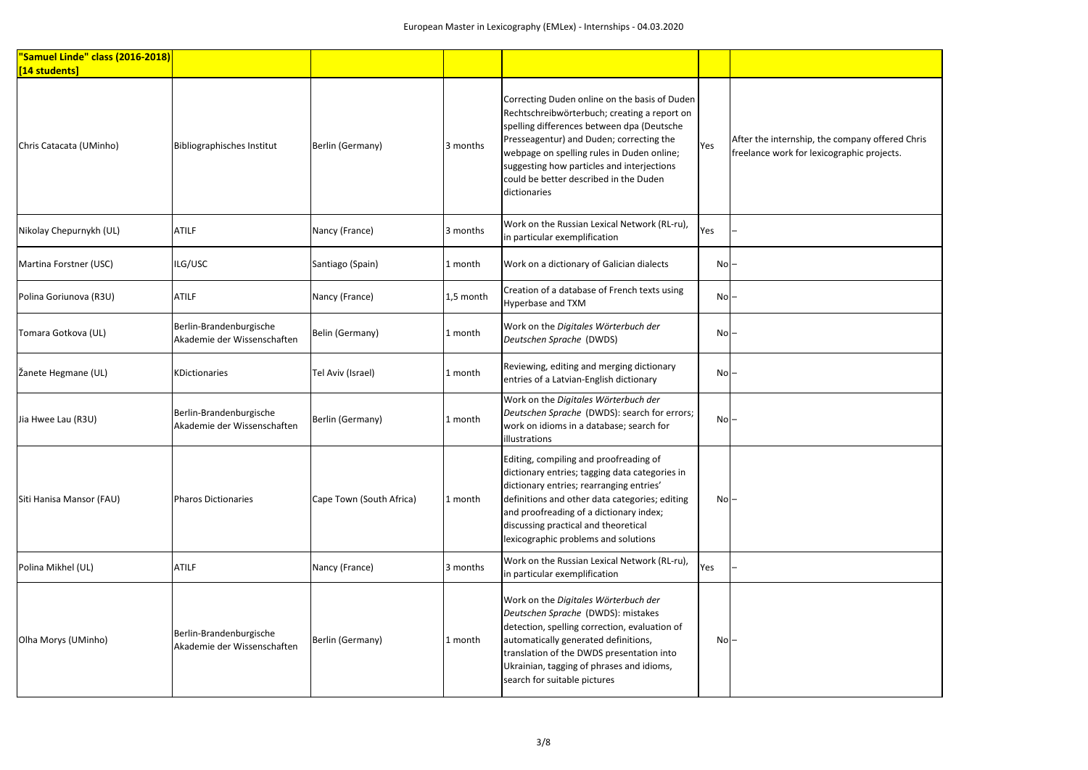| After the internship, the company offered Chris<br>freelance work for lexicographic projects. |
|-----------------------------------------------------------------------------------------------|
|                                                                                               |
|                                                                                               |
|                                                                                               |
|                                                                                               |
|                                                                                               |
|                                                                                               |
|                                                                                               |
|                                                                                               |
|                                                                                               |
|                                                                                               |
|                                                                                               |
|                                                                                               |
|                                                                                               |
|                                                                                               |
|                                                                                               |
|                                                                                               |
|                                                                                               |
|                                                                                               |
|                                                                                               |

| "Samuel Linde" class (2016-2018) |                                                        |                          |           |                                                                                                                                                                                                                                                                                                                                               |                   |                                                                                         |
|----------------------------------|--------------------------------------------------------|--------------------------|-----------|-----------------------------------------------------------------------------------------------------------------------------------------------------------------------------------------------------------------------------------------------------------------------------------------------------------------------------------------------|-------------------|-----------------------------------------------------------------------------------------|
| [14 students]                    |                                                        |                          |           |                                                                                                                                                                                                                                                                                                                                               |                   |                                                                                         |
| Chris Catacata (UMinho)          | <b>Bibliographisches Institut</b>                      | Berlin (Germany)         | 3 months  | Correcting Duden online on the basis of Duden<br>Rechtschreibwörterbuch; creating a report on<br>spelling differences between dpa (Deutsche<br>Presseagentur) and Duden; correcting the<br>webpage on spelling rules in Duden online;<br>suggesting how particles and interjections<br>could be better described in the Duden<br>dictionaries | Yes               | After the internship, the company offered<br>freelance work for lexicographic projects. |
| Nikolay Chepurnykh (UL)          | <b>ATILF</b>                                           | Nancy (France)           | 3 months  | Work on the Russian Lexical Network (RL-ru),<br>in particular exemplification                                                                                                                                                                                                                                                                 | Yes               |                                                                                         |
| Martina Forstner (USC)           | ILG/USC                                                | Santiago (Spain)         | 1 month   | Work on a dictionary of Galician dialects                                                                                                                                                                                                                                                                                                     | $No$ $-$          |                                                                                         |
| Polina Goriunova (R3U)           | <b>ATILF</b>                                           | Nancy (France)           | 1,5 month | Creation of a database of French texts using<br>Hyperbase and TXM                                                                                                                                                                                                                                                                             | $No$ -            |                                                                                         |
| Tomara Gotkova (UL)              | Berlin-Brandenburgische<br>Akademie der Wissenschaften | Belin (Germany)          | 1 month   | Work on the Digitales Wörterbuch der<br>Deutschen Sprache (DWDS)                                                                                                                                                                                                                                                                              | $\textsf{No}$ $-$ |                                                                                         |
| Žanete Hegmane (UL)              | KDictionaries                                          | Tel Aviv (Israel)        | 1 month   | Reviewing, editing and merging dictionary<br>entries of a Latvian-English dictionary                                                                                                                                                                                                                                                          | $No$ $-$          |                                                                                         |
| Jia Hwee Lau (R3U)               | Berlin-Brandenburgische<br>Akademie der Wissenschaften | Berlin (Germany)         | 1 month   | Work on the Digitales Wörterbuch der<br>Deutschen Sprache (DWDS): search for errors;<br>work on idioms in a database; search for<br>illustrations                                                                                                                                                                                             | $No$ -            |                                                                                         |
| Siti Hanisa Mansor (FAU)         | <b>Pharos Dictionaries</b>                             | Cape Town (South Africa) | 1 month   | Editing, compiling and proofreading of<br>dictionary entries; tagging data categories in<br>dictionary entries; rearranging entries'<br>definitions and other data categories; editing<br>and proofreading of a dictionary index;<br>discussing practical and theoretical<br>lexicographic problems and solutions                             | $No$ -            |                                                                                         |
| Polina Mikhel (UL)               | <b>ATILF</b>                                           | Nancy (France)           | 3 months  | Work on the Russian Lexical Network (RL-ru),<br>in particular exemplification                                                                                                                                                                                                                                                                 | Yes               |                                                                                         |
| Olha Morys (UMinho)              | Berlin-Brandenburgische<br>Akademie der Wissenschaften | Berlin (Germany)         | 1 month   | Work on the Digitales Wörterbuch der<br>Deutschen Sprache (DWDS): mistakes<br>detection, spelling correction, evaluation of<br>automatically generated definitions,<br>translation of the DWDS presentation into<br>Ukrainian, tagging of phrases and idioms,<br>search for suitable pictures                                                 | $No$ $-$          |                                                                                         |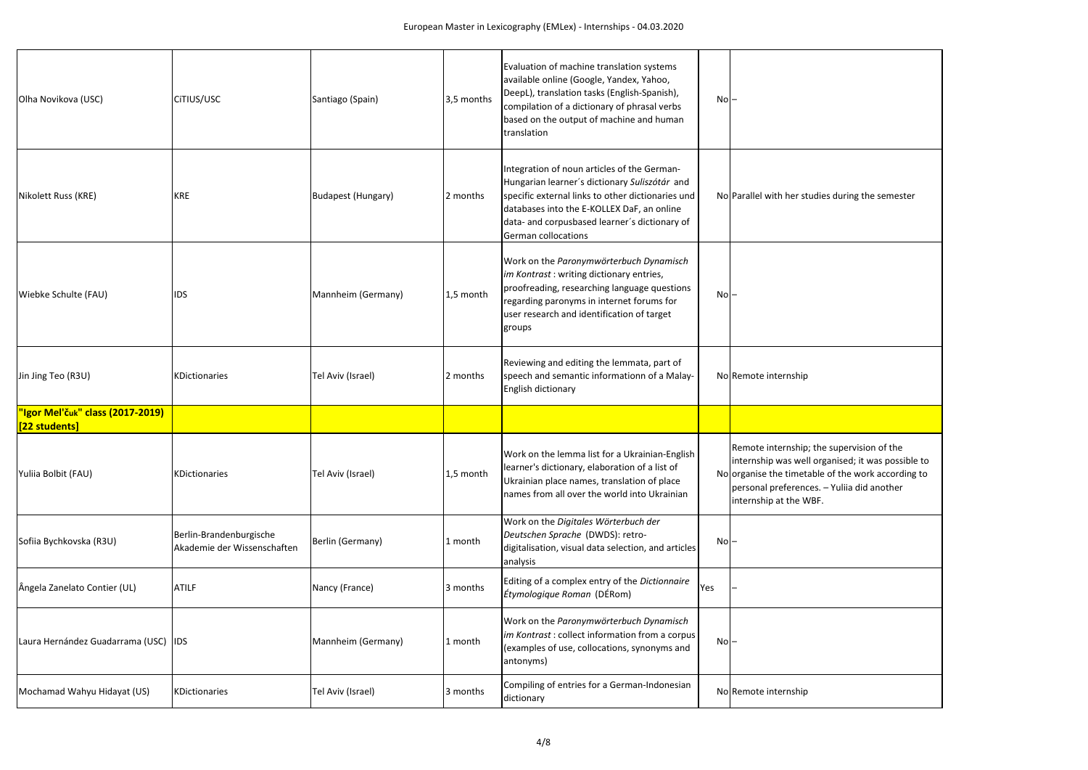

| Olha Novikova (USC)                               | CITIUS/USC                                             | Santiago (Spain)   | 3,5 months | Evaluation of machine translation systems<br>available online (Google, Yandex, Yahoo,<br>DeepL), translation tasks (English-Spanish),<br>compilation of a dictionary of phrasal verbs<br>based on the output of machine and human<br>translation                               | $\overline{N}$ o $\overline{C}$ |                                                                                                                                     |
|---------------------------------------------------|--------------------------------------------------------|--------------------|------------|--------------------------------------------------------------------------------------------------------------------------------------------------------------------------------------------------------------------------------------------------------------------------------|---------------------------------|-------------------------------------------------------------------------------------------------------------------------------------|
| Nikolett Russ (KRE)                               | <b>KRE</b>                                             | Budapest (Hungary) | 2 months   | Integration of noun articles of the German-<br>Hungarian learner's dictionary Suliszótár and<br>specific external links to other dictionaries und<br>databases into the E-KOLLEX DaF, an online<br>data- and corpusbased learner's dictionary of<br><b>German collocations</b> |                                 | No Parallel with her studie                                                                                                         |
| Wiebke Schulte (FAU)                              | IDS                                                    | Mannheim (Germany) | 1,5 month  | Work on the Paronymwörterbuch Dynamisch<br>im Kontrast: writing dictionary entries,<br>proofreading, researching language questions<br>regarding paronyms in internet forums for<br>user research and identification of target<br>groups                                       | $No$ $-$                        |                                                                                                                                     |
| Jin Jing Teo (R3U)                                | KDictionaries                                          | Tel Aviv (Israel)  | 2 months   | Reviewing and editing the lemmata, part of<br>speech and semantic informationn of a Malay-<br>English dictionary                                                                                                                                                               |                                 | No Remote internship                                                                                                                |
| "Igor Mel'čuk" class (2017-2019)<br>[22 students] |                                                        |                    |            |                                                                                                                                                                                                                                                                                |                                 |                                                                                                                                     |
| Yuliia Bolbit (FAU)                               | KDictionaries                                          | Tel Aviv (Israel)  | 1,5 month  | Work on the lemma list for a Ukrainian-English<br>learner's dictionary, elaboration of a list of<br>Ukrainian place names, translation of place<br>names from all over the world into Ukrainian                                                                                |                                 | Remote internship; the<br>internship was well org<br>No organise the timetable<br>personal preferences. -<br>internship at the WBF. |
| Sofiia Bychkovska (R3U)                           | Berlin-Brandenburgische<br>Akademie der Wissenschaften | Berlin (Germany)   | 1 month    | Work on the Digitales Wörterbuch der<br>Deutschen Sprache (DWDS): retro-<br>digitalisation, visual data selection, and articles<br>analysis                                                                                                                                    | $No$ $-$                        |                                                                                                                                     |
| Ângela Zanelato Contier (UL)                      | <b>ATILF</b>                                           | Nancy (France)     | 3 months   | Editing of a complex entry of the Dictionnaire<br>Étymologique Roman (DÉRom)                                                                                                                                                                                                   | Yes                             |                                                                                                                                     |
| Laura Hernández Guadarrama (USC)                  | <b>IDS</b>                                             | Mannheim (Germany) | 1 month    | Work on the Paronymwörterbuch Dynamisch<br>im Kontrast: collect information from a corpus<br>(examples of use, collocations, synonyms and<br>antonyms)                                                                                                                         | $No$ -                          |                                                                                                                                     |
| Mochamad Wahyu Hidayat (US)                       | KDictionaries                                          | Tel Aviv (Israel)  | 3 months   | Compiling of entries for a German-Indonesian<br>dictionary                                                                                                                                                                                                                     |                                 | No Remote internship                                                                                                                |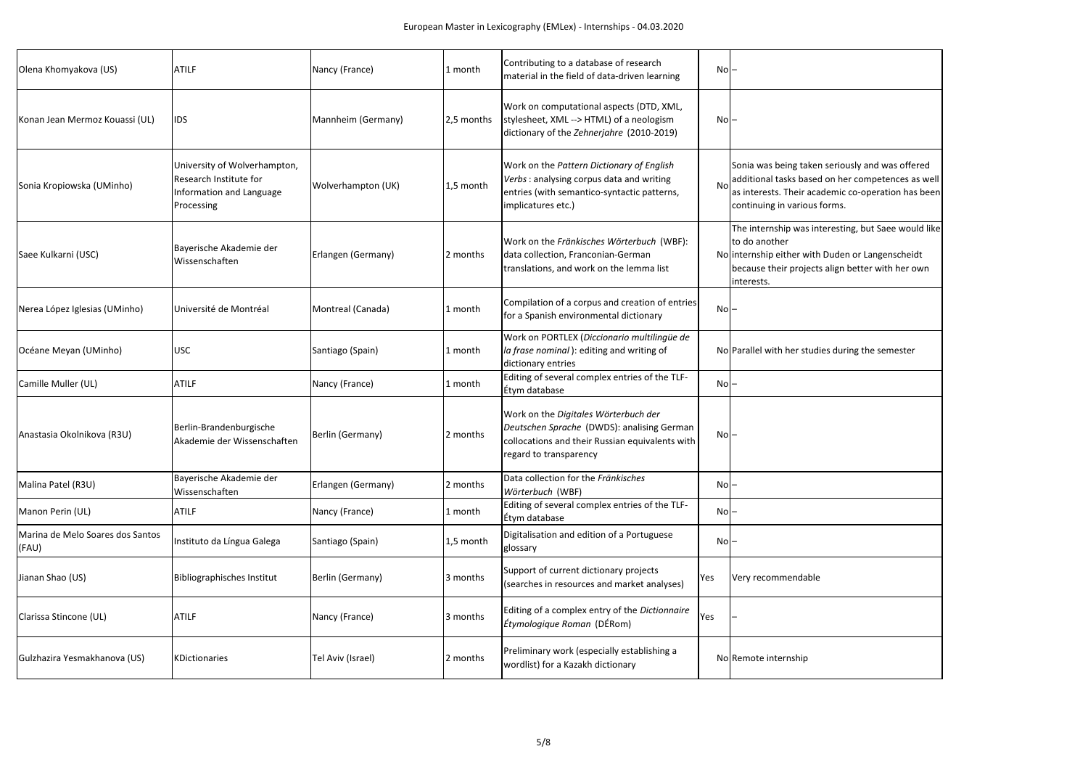| Sonia was being taken seriously and was offered<br>additional tasks based on her competences as well<br>as interests. Their academic co-operation has been<br>continuing in various forms. |
|--------------------------------------------------------------------------------------------------------------------------------------------------------------------------------------------|
| The internship was interesting, but Saee would like<br>to do another<br>internship either with Duden or Langenscheidt<br>because their projects align better with her own<br>interests.    |
|                                                                                                                                                                                            |
| Parallel with her studies during the semester                                                                                                                                              |
|                                                                                                                                                                                            |
|                                                                                                                                                                                            |
|                                                                                                                                                                                            |
|                                                                                                                                                                                            |
|                                                                                                                                                                                            |
| Very recommendable                                                                                                                                                                         |
|                                                                                                                                                                                            |
| Remote internship                                                                                                                                                                          |
|                                                                                                                                                                                            |

| Olena Khomyakova (US)                     | <b>ATILF</b>                                                                                     | Nancy (France)     | 1 month    | Contributing to a database of research<br>material in the field of data-driven learning                                                                         | No                              |                                                                                                                                                                                  |
|-------------------------------------------|--------------------------------------------------------------------------------------------------|--------------------|------------|-----------------------------------------------------------------------------------------------------------------------------------------------------------------|---------------------------------|----------------------------------------------------------------------------------------------------------------------------------------------------------------------------------|
| Konan Jean Mermoz Kouassi (UL)            | <b>IDS</b>                                                                                       | Mannheim (Germany) | 2,5 months | Work on computational aspects (DTD, XML,<br>stylesheet, XML --> HTML) of a neologism<br>dictionary of the Zehnerjahre (2010-2019)                               | $No$ $-$                        |                                                                                                                                                                                  |
| Sonia Kropiowska (UMinho)                 | University of Wolverhampton,<br>Research Institute for<br>Information and Language<br>Processing | Wolverhampton (UK) | 1,5 month  | Work on the Pattern Dictionary of English<br>Verbs: analysing corpus data and writing<br>entries (with semantico-syntactic patterns,<br>implicatures etc.)      | No                              | Sonia was being taken seriously and was offe<br>additional tasks based on her competences a<br>as interests. Their academic co-operation has<br>continuing in various forms.     |
| Saee Kulkarni (USC)                       | Bayerische Akademie der<br>Wissenschaften                                                        | Erlangen (Germany) | 2 months   | Work on the Fränkisches Wörterbuch (WBF):<br>data collection, Franconian-German<br>translations, and work on the lemma list                                     |                                 | The internship was interesting, but Saee wou<br>to do another<br>No internship either with Duden or Langenschei<br>because their projects align better with her of<br>interests. |
| Nerea López Iglesias (UMinho)             | Université de Montréal                                                                           | Montreal (Canada)  | 1 month    | Compilation of a corpus and creation of entries<br>for a Spanish environmental dictionary                                                                       | No                              |                                                                                                                                                                                  |
| Océane Meyan (UMinho)                     | <b>USC</b>                                                                                       | Santiago (Spain)   | 1 month    | Work on PORTLEX (Diccionario multilingüe de<br>la frase nominal): editing and writing of<br>dictionary entries                                                  |                                 | No Parallel with her studies during the semester                                                                                                                                 |
| Camille Muller (UL)                       | <b>ATILF</b>                                                                                     | Nancy (France)     | 1 month    | Editing of several complex entries of the TLF-<br>Étym database                                                                                                 | $No$ $-$                        |                                                                                                                                                                                  |
| Anastasia Okolnikova (R3U)                | Berlin-Brandenburgische<br>Akademie der Wissenschaften                                           | Berlin (Germany)   | 2 months   | Work on the Digitales Wörterbuch der<br>Deutschen Sprache (DWDS): analising German<br>collocations and their Russian equivalents with<br>regard to transparency | $\overline{N}$ o $\overline{I}$ |                                                                                                                                                                                  |
| Malina Patel (R3U)                        | Bayerische Akademie der<br>Wissenschaften                                                        | Erlangen (Germany) | 2 months   | Data collection for the Fränkisches<br>Wörterbuch (WBF)                                                                                                         | No                              |                                                                                                                                                                                  |
| Manon Perin (UL)                          | <b>ATILF</b>                                                                                     | Nancy (France)     | 1 month    | Editing of several complex entries of the TLF-<br>Étym database                                                                                                 | $No$ $-$                        |                                                                                                                                                                                  |
| Marina de Melo Soares dos Santos<br>(FAU) | Instituto da Língua Galega                                                                       | Santiago (Spain)   | 1,5 month  | Digitalisation and edition of a Portuguese<br>glossary                                                                                                          | No                              |                                                                                                                                                                                  |
| Jianan Shao (US)                          | <b>Bibliographisches Institut</b>                                                                | Berlin (Germany)   | 3 months   | Support of current dictionary projects<br>(searches in resources and market analyses)                                                                           | Yes                             | Very recommendable                                                                                                                                                               |
| Clarissa Stincone (UL)                    | <b>ATILF</b>                                                                                     | Nancy (France)     | 3 months   | Editing of a complex entry of the Dictionnaire<br>Étymologique Roman (DÉRom)                                                                                    | Yes                             |                                                                                                                                                                                  |
| Gulzhazira Yesmakhanova (US)              | KDictionaries                                                                                    | Tel Aviv (Israel)  | 2 months   | Preliminary work (especially establishing a<br>wordlist) for a Kazakh dictionary                                                                                |                                 | No Remote internship                                                                                                                                                             |
|                                           |                                                                                                  |                    |            |                                                                                                                                                                 |                                 |                                                                                                                                                                                  |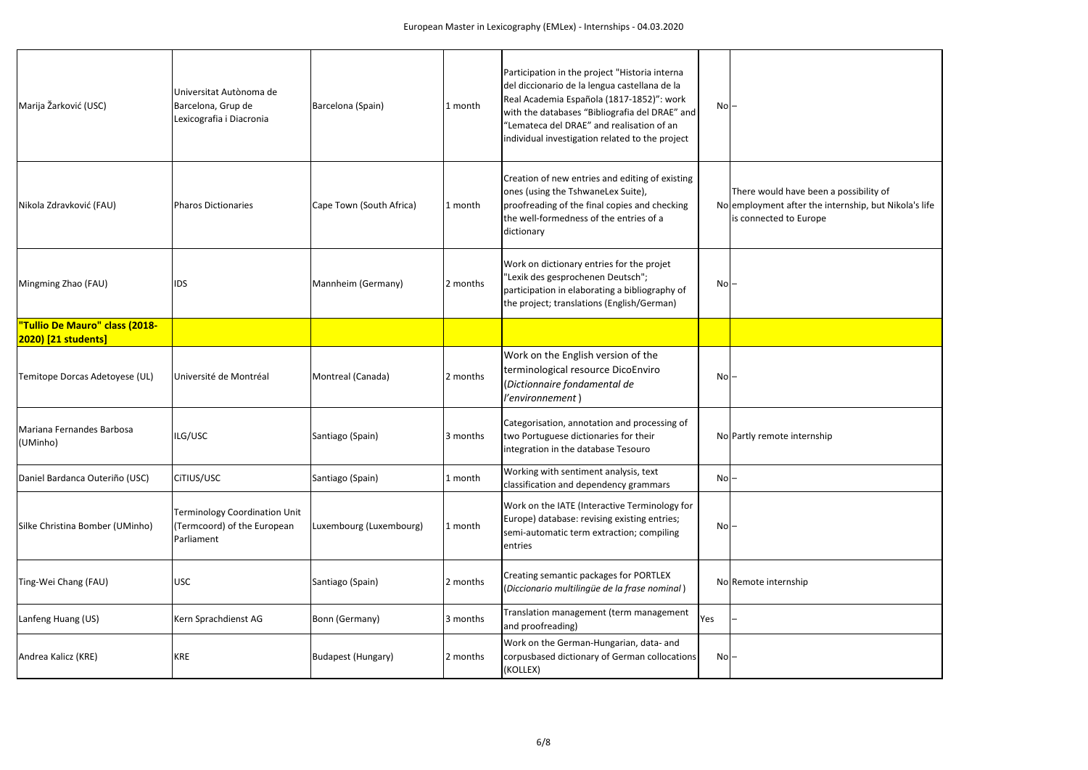| There would have been a possibility of<br>employment after the internship, but Nikola's life<br>is connected to Europe |
|------------------------------------------------------------------------------------------------------------------------|
|                                                                                                                        |
|                                                                                                                        |
|                                                                                                                        |
| Partly remote internship                                                                                               |
|                                                                                                                        |
|                                                                                                                        |
| Remote internship                                                                                                      |
|                                                                                                                        |
|                                                                                                                        |
|                                                                                                                        |

| Marija Žarković (USC)                 | Universitat Autònoma de<br>Barcelona, Grup de<br>Lexicografia i Diacronia         | Barcelona (Spain)         | 1 month  | Participation in the project "Historia interna<br>del diccionario de la lengua castellana de la<br>Real Academia Española (1817-1852)": work<br>with the databases "Bibliografia del DRAE" and<br>"Lemateca del DRAE" and realisation of an<br>individual investigation related to the project | $No$ - |                                                                                                               |
|---------------------------------------|-----------------------------------------------------------------------------------|---------------------------|----------|------------------------------------------------------------------------------------------------------------------------------------------------------------------------------------------------------------------------------------------------------------------------------------------------|--------|---------------------------------------------------------------------------------------------------------------|
| Nikola Zdravković (FAU)               | <b>Pharos Dictionaries</b>                                                        | Cape Town (South Africa)  | 1 month  | Creation of new entries and editing of existing<br>ones (using the TshwaneLex Suite),<br>proofreading of the final copies and checking<br>the well-formedness of the entries of a<br>dictionary                                                                                                |        | There would have been a possibility of<br>No employment after the internship, but N<br>is connected to Europe |
| Mingming Zhao (FAU)                   | <b>IDS</b>                                                                        | Mannheim (Germany)        | 2 months | Work on dictionary entries for the projet<br>"Lexik des gesprochenen Deutsch";<br>participation in elaborating a bibliography of<br>the project; translations (English/German)                                                                                                                 | $No$ - |                                                                                                               |
| "Tullio De Mauro" class (2018-        |                                                                                   |                           |          |                                                                                                                                                                                                                                                                                                |        |                                                                                                               |
| <b>2020) [21 students]</b>            |                                                                                   |                           |          |                                                                                                                                                                                                                                                                                                |        |                                                                                                               |
| Temitope Dorcas Adetoyese (UL)        | Université de Montréal                                                            | Montreal (Canada)         | 2 months | Work on the English version of the<br>terminological resource DicoEnviro<br>(Dictionnaire fondamental de<br>l'environnement)                                                                                                                                                                   | $No$ - |                                                                                                               |
| Mariana Fernandes Barbosa<br>(UMinho) | ILG/USC                                                                           | Santiago (Spain)          | 3 months | Categorisation, annotation and processing of<br>two Portuguese dictionaries for their<br>integration in the database Tesouro                                                                                                                                                                   |        | No Partly remote internship                                                                                   |
| Daniel Bardanca Outeriño (USC)        | CITIUS/USC                                                                        | Santiago (Spain)          | 1 month  | Working with sentiment analysis, text<br>classification and dependency grammars                                                                                                                                                                                                                | No     |                                                                                                               |
| Silke Christina Bomber (UMinho)       | <b>Terminology Coordination Unit</b><br>(Termcoord) of the European<br>Parliament | Luxembourg (Luxembourg)   | 1 month  | Work on the IATE (Interactive Terminology for<br>Europe) database: revising existing entries;<br>semi-automatic term extraction; compiling<br>entries                                                                                                                                          | $No$ - |                                                                                                               |
| Ting-Wei Chang (FAU)                  | USC                                                                               | Santiago (Spain)          | 2 months | Creating semantic packages for PORTLEX<br>(Diccionario multilingüe de la frase nominal)                                                                                                                                                                                                        |        | No Remote internship                                                                                          |
| Lanfeng Huang (US)                    | Kern Sprachdienst AG                                                              | Bonn (Germany)            | 3 months | Translation management (term management<br>and proofreading)                                                                                                                                                                                                                                   | Yes    |                                                                                                               |
| Andrea Kalicz (KRE)                   | <b>KRE</b>                                                                        | <b>Budapest (Hungary)</b> | 2 months | Work on the German-Hungarian, data- and<br>corpusbased dictionary of German collocations<br>(KOLLEX)                                                                                                                                                                                           | $No$ - |                                                                                                               |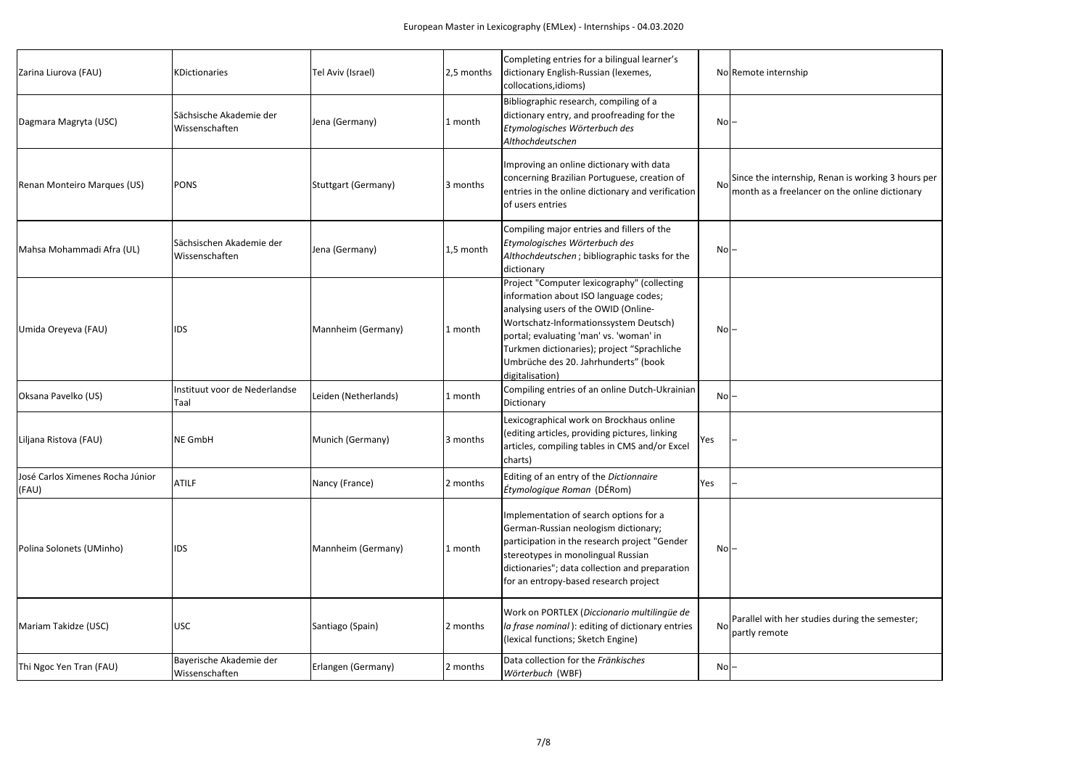| Zarina Liurova (FAU)                      | <b>KDictionaries</b>                       | Tel Aviv (Israel)          | 2,5 months | Completing entries for a bilingual learner's<br>dictionary English-Russian (lexemes,<br>collocations, idioms)                                                                                                                                                                                                               |           | No Remote internship                             |
|-------------------------------------------|--------------------------------------------|----------------------------|------------|-----------------------------------------------------------------------------------------------------------------------------------------------------------------------------------------------------------------------------------------------------------------------------------------------------------------------------|-----------|--------------------------------------------------|
| Dagmara Magryta (USC)                     | Sächsische Akademie der<br>Wissenschaften  | Jena (Germany)             | 1 month    | Bibliographic research, compiling of a<br>dictionary entry, and proofreading for the<br>Etymologisches Wörterbuch des<br>Althochdeutschen                                                                                                                                                                                   | $No$ -    |                                                  |
| Renan Monteiro Marques (US)               | <b>PONS</b>                                | <b>Stuttgart (Germany)</b> | 3 months   | Improving an online dictionary with data<br>concerning Brazilian Portuguese, creation of<br>entries in the online dictionary and verification<br>of users entries                                                                                                                                                           | <b>No</b> | Since the internship, R<br>month as a freelancer |
| Mahsa Mohammadi Afra (UL)                 | Sächsischen Akademie der<br>Wissenschaften | Jena (Germany)             | 1,5 month  | Compiling major entries and fillers of the<br>Etymologisches Wörterbuch des<br>Althochdeutschen; bibliographic tasks for the<br>dictionary                                                                                                                                                                                  | $No$ -    |                                                  |
| Umida Oreyeva (FAU)                       | <b>IDS</b>                                 | Mannheim (Germany)         | 1 month    | Project "Computer lexicography" (collecting<br>information about ISO language codes;<br>analysing users of the OWID (Online-<br>Wortschatz-Informationssystem Deutsch)<br>portal; evaluating 'man' vs. 'woman' in<br>Turkmen dictionaries); project "Sprachliche<br>Umbrüche des 20. Jahrhunderts" (book<br>digitalisation) | $No$ -    |                                                  |
| Oksana Pavelko (US)                       | Instituut voor de Nederlandse<br>Taal      | Leiden (Netherlands)       | 1 month    | Compiling entries of an online Dutch-Ukrainian<br>Dictionary                                                                                                                                                                                                                                                                | $No$ -    |                                                  |
| Liljana Ristova (FAU)                     | <b>NE GmbH</b>                             | Munich (Germany)           | 3 months   | Lexicographical work on Brockhaus online<br>(editing articles, providing pictures, linking<br>articles, compiling tables in CMS and/or Excel<br>charts)                                                                                                                                                                     | Yes       |                                                  |
| José Carlos Ximenes Rocha Júnior<br>(FAU) | <b>ATILF</b>                               | Nancy (France)             | 2 months   | Editing of an entry of the Dictionnaire<br><i>Étymologique Roman</i> (DÉRom)                                                                                                                                                                                                                                                | Yes       |                                                  |
| Polina Solonets (UMinho)                  | <b>IDS</b>                                 | Mannheim (Germany)         | 1 month    | Implementation of search options for a<br>German-Russian neologism dictionary;<br>participation in the research project "Gender<br>stereotypes in monolingual Russian<br>dictionaries"; data collection and preparation<br>for an entropy-based research project                                                            | $No$ -    |                                                  |
| Mariam Takidze (USC)                      | <b>USC</b>                                 | Santiago (Spain)           | 2 months   | Work on PORTLEX (Diccionario multilingüe de<br>la frase nominal): editing of dictionary entries<br>(lexical functions; Sketch Engine)                                                                                                                                                                                       | <b>No</b> | Parallel with her studie<br>partly remote        |
| Thi Ngoc Yen Tran (FAU)                   | Bayerische Akademie der<br>Wissenschaften  | Erlangen (Germany)         | 2 months   | Data collection for the Fränkisches<br>Wörterbuch (WBF)                                                                                                                                                                                                                                                                     | $No$ -    |                                                  |

| Remote internship                                                                                    |
|------------------------------------------------------------------------------------------------------|
|                                                                                                      |
| Since the internship, Renan is working 3 hours per<br>month as a freelancer on the online dictionary |
|                                                                                                      |
|                                                                                                      |
|                                                                                                      |
|                                                                                                      |
|                                                                                                      |
|                                                                                                      |
| Parallel with her studies during the semester;<br>partly remote                                      |
|                                                                                                      |
|                                                                                                      |